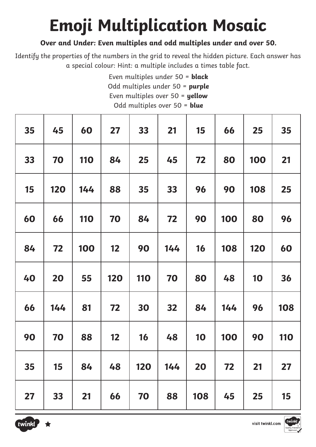# **Emoji Multiplication Mosaic**

### **Over and Under: Even multiples and odd multiples under and over 50.**

Identify the properties of the numbers in the grid to reveal the hidden picture. Each answer has a special colour: Hint: a multiple includes a times table fact.

> Even multiples under 50 = **black**  Odd multiples under 50 = **purple** Even multiples over 50 = **yellow** Odd multiples over 50 = **blue**

| 35 | 45         | 60         | 27  | 33         | 21  | 15        | 66  | 25  | 35         |
|----|------------|------------|-----|------------|-----|-----------|-----|-----|------------|
| 33 | 70         | <b>110</b> | 84  | 25         | 45  | 72        | 80  | 100 | 21         |
| 15 | <b>120</b> | 144        | 88  | 35         | 33  | 96        | 90  | 108 | 25         |
| 60 | 66         | <b>110</b> | 70  | 84         | 72  | 90        | 100 | 80  | 96         |
| 84 | 72         | 100        | 12  | 90         | 144 | <b>16</b> | 108 | 120 | 60         |
| 40 | 20         | 55         | 120 | <b>110</b> | 70  | 80        | 48  | 10  | 36         |
| 66 | 144        | 81         | 72  | 30         | 32  | 84        | 144 | 96  | 108        |
| 90 | 70         | 88         | 12  | 16         | 48  | 10        | 100 | 90  | <b>110</b> |
| 35 | 15         | 84         | 48  | 120        | 144 | 20        | 72  | 21  | 27         |
| 27 | 33         | 21         | 66  | 70         | 88  | 108       | 45  | 25  | 15         |



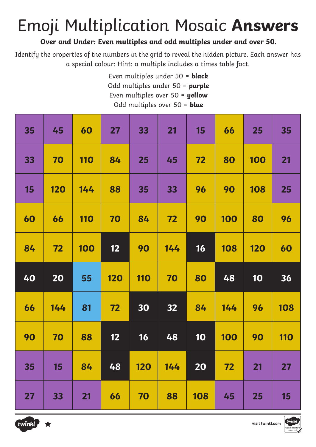### Emoji Multiplication Mosaic **Answers**

### **Over and Under: Even multiples and odd multiples under and over 50.**

Identify the properties of the numbers in the grid to reveal the hidden picture. Each answer has a special colour: Hint: a multiple includes a times table fact.

> Even multiples under 50 = **black**  Odd multiples under 50 = **purple** Even multiples over 50 = **yellow** Odd multiples over 50 = **blue**

| 35 | 45         | 60         | 27         | 33         | 21  | <b>15</b> | 66         | 25         | 35         |
|----|------------|------------|------------|------------|-----|-----------|------------|------------|------------|
| 33 | 70         | <b>110</b> | 84         | 25         | 45  | 72        | 80         | <b>100</b> | 21         |
| 15 | <b>120</b> | 144        | 88         | 35         | 33  | 96        | 90         | 108        | 25         |
| 60 | 66         | <b>110</b> | 70         | 84         | 72  | 90        | 100        | 80         | 96         |
| 84 | 72         | 100        | 12         | 90         | 144 | 16        | 108        | <b>120</b> | 60         |
|    |            |            |            |            |     |           |            |            |            |
| 40 | 20         | 55         | <b>120</b> | <b>110</b> | 70  | 80        | 48         | 10         | 36         |
| 66 | 144        | 81         | 72         | 30         | 32  | 84        | 144        | 96         | 108        |
| 90 | 70         | 88         | 12         | 16         | 48  | 10        | <b>100</b> | 90         | <b>110</b> |
| 35 | 15         | 84         | 48         | 120        | 144 | 20        | 72         | 21         | 27         |



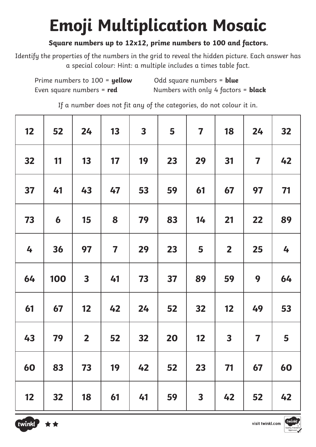## **Emoji Multiplication Mosaic**

### **Square numbers up to 12x12, prime numbers to 100 and factors.**

Identify the properties of the numbers in the grid to reveal the hidden picture. Each answer has a special colour: Hint: a multiple includes a times table fact.

Prime numbers to 100 = **yellow** Odd square numbers = **blue** Even square numbers = **red** Numbers with only 4 factors = **black**

If a number does not fit any of the categories, do not colour it in.

| 12 | 52               | 24                      | 13                      | $\overline{\mathbf{3}}$ | 5  | $\overline{\mathbf{7}}$ | 18                      | 24                      | 32 |
|----|------------------|-------------------------|-------------------------|-------------------------|----|-------------------------|-------------------------|-------------------------|----|
| 32 | 11               | 13                      | 17                      | 19                      | 23 | 29                      | 31                      | $\overline{\mathbf{7}}$ | 42 |
| 37 | 41               | 43                      | 47                      | 53                      | 59 | 61                      | 67                      | 97                      | 71 |
| 73 | $\boldsymbol{6}$ | 15                      | 8                       | 79                      | 83 | 14                      | 21                      | 22                      | 89 |
| 4  | 36               | 97                      | $\overline{\mathbf{7}}$ | 29                      | 23 | 5                       | $\overline{\mathbf{2}}$ | 25                      | 4  |
| 64 | 100              | $\overline{\mathbf{3}}$ | 41                      | 73                      | 37 | 89                      | 59                      | 9                       | 64 |
| 61 | 67               | 12                      | 42                      | 24                      | 52 | 32                      | 12                      | 49                      | 53 |
| 43 | 79               | $\overline{\mathbf{2}}$ | 52                      | 32                      | 20 | 12                      | $\overline{\mathbf{3}}$ | $\overline{\mathbf{7}}$ | 5  |
| 60 | 83               | 73                      | 19                      | 42                      | 52 | 23                      | 71                      | 67                      | 60 |
| 12 | 32               | 18                      | 61                      | 41                      | 59 | $\overline{\mathbf{3}}$ | 42                      | 52                      | 42 |



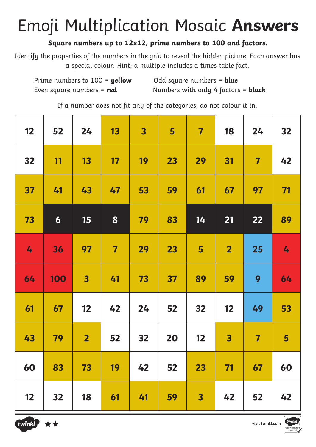### Emoji Multiplication Mosaic **Answers**

### **Square numbers up to 12x12, prime numbers to 100 and factors.**

Identify the properties of the numbers in the grid to reveal the hidden picture. Each answer has a special colour: Hint: a multiple includes a times table fact.

Prime numbers to 100 = **yellow** Odd square numbers = **blue** Even square numbers = **red** Numbers with only 4 factors = **black**

If a number does not fit any of the categories, do not colour it in.

| 12 | 52               | 24             | 13                      | $\overline{\mathbf{3}}$ | 5  | $\overline{\mathbf{7}}$ | 18             | 24                      | 32             |
|----|------------------|----------------|-------------------------|-------------------------|----|-------------------------|----------------|-------------------------|----------------|
| 32 | 11               | 13             | 17                      | 19                      | 23 | 29                      | 31             | $\overline{\mathbf{7}}$ | 42             |
| 37 | 41               | 43             | 47                      | 53                      | 59 | 61                      | 67             | 97                      | 71             |
| 73 | $\boldsymbol{6}$ | 15             | 8                       | 79                      | 83 | 14                      | 21             | 22                      | 89             |
| 4  | 36               | 97             | $\overline{\mathbf{7}}$ | 29                      | 23 | 5                       | $\overline{2}$ | 25                      | 4              |
| 64 | 100              | 3              | 41                      | 73                      | 37 | 89                      | 59             | 9                       | 64             |
| 61 | 67               | 12             | 42                      | 24                      | 52 | 32                      | 12             | 49                      | 53             |
| 43 | 79               | $\overline{2}$ | 52                      | 32                      | 20 | 12                      | 3              | $\overline{\mathbf{7}}$ | $5\phantom{1}$ |
| 60 | 83               | 73             | 19                      | 42                      | 52 | 23                      | 71             | 67                      | 60             |
| 12 | 32               | 18             | 61                      | 41                      | 59 | $\overline{\mathbf{3}}$ | 42             | 52                      | 42             |



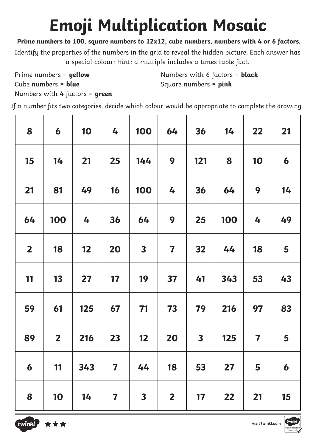# **Emoji Multiplication Mosaic**

#### **Prime numbers to 100, square numbers to 12x12, cube numbers, numbers with 4 or 6 factors.**

Identify the properties of the numbers in the grid to reveal the hidden picture. Each answer has a special colour: Hint: a multiple includes a times table fact.

Prime numbers = **yellow** Cube numbers = **blue**

Numbers with 6 factors = **black** Square numbers = **pink**

Numbers with 4 factors = **green**

If a number fits two categories, decide which colour would be appropriate to complete the drawing.

| 8                       | 6                       | 10  | 4                       | 100                     | 64                      | 36                      | 14  | 22                      | 21               |
|-------------------------|-------------------------|-----|-------------------------|-------------------------|-------------------------|-------------------------|-----|-------------------------|------------------|
| 15                      | 14                      | 21  | 25                      | 144                     | 9                       | 121                     | 8   | 10                      | $\boldsymbol{6}$ |
| 21                      | 81                      | 49  | 16                      | 100                     | 4                       | 36                      | 64  | 9                       | 14               |
| 64                      | 100                     | 4   | 36                      | 64                      | 9                       | 25                      | 100 | 4                       | 49               |
| $\overline{\mathbf{2}}$ | 18                      | 12  | 20                      | $\overline{\mathbf{3}}$ | $\overline{\mathbf{7}}$ | 32                      | 44  | 18                      | 5                |
| 11                      | 13                      | 27  | 17                      | 19                      | 37                      | 41                      | 343 | 53                      | 43               |
| 59                      | 61                      | 125 | 67                      | 71                      | 73                      | 79                      | 216 | 97                      | 83               |
| 89                      | $\overline{\mathbf{2}}$ | 216 | 23                      | 12                      | 20                      | $\overline{\mathbf{3}}$ | 125 | $\overline{\mathbf{7}}$ | 5                |
| $\boldsymbol{6}$        | 11                      | 343 | $\overline{\mathbf{7}}$ | 44                      | 18                      | 53                      | 27  | 5                       | $\boldsymbol{6}$ |
| 8                       | 10                      | 14  | $\overline{\mathbf{7}}$ | $\overline{\mathbf{3}}$ | $\overline{\mathbf{2}}$ | 17                      | 22  | 21                      | 15               |